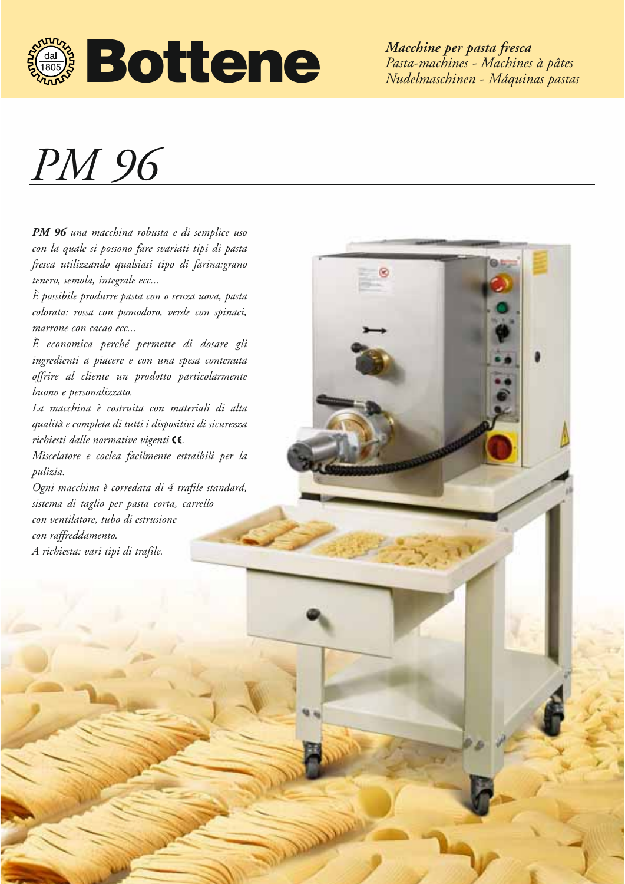

*Macchine per pasta fresca Pasta-machines - Machines à pâtes Nudelmaschinen - Máquinas pastas*

## *PM 96*

*PM 96 una macchina robusta e di semplice uso con la quale si possono fare svariati tipi di pasta fresca utilizzando qualsiasi tipo di farina:grano tenero, semola, integrale ecc...* 

*È possibile produrre pasta con o senza uova, pasta colorata: rossa con pomodoro, verde con spinaci, marrone con cacao ecc...*

*È economica perché permette di dosare gli ingredienti a piacere e con una spesa contenuta offrire al cliente un prodotto particolarmente buono e personalizzato.*

*La macchina è costruita con materiali di alta qualità e completa di tutti i dispositivi di sicurezza* richiesti dalle normative vigenti CC.

*Miscelatore e coclea facilmente estraibili per la pulizia.*

*Ogni macchina è corredata di 4 trafile standard, sistema di taglio per pasta corta, carrello con ventilatore, tubo di estrusione con raffreddamento. A richiesta: vari tipi di trafile.*